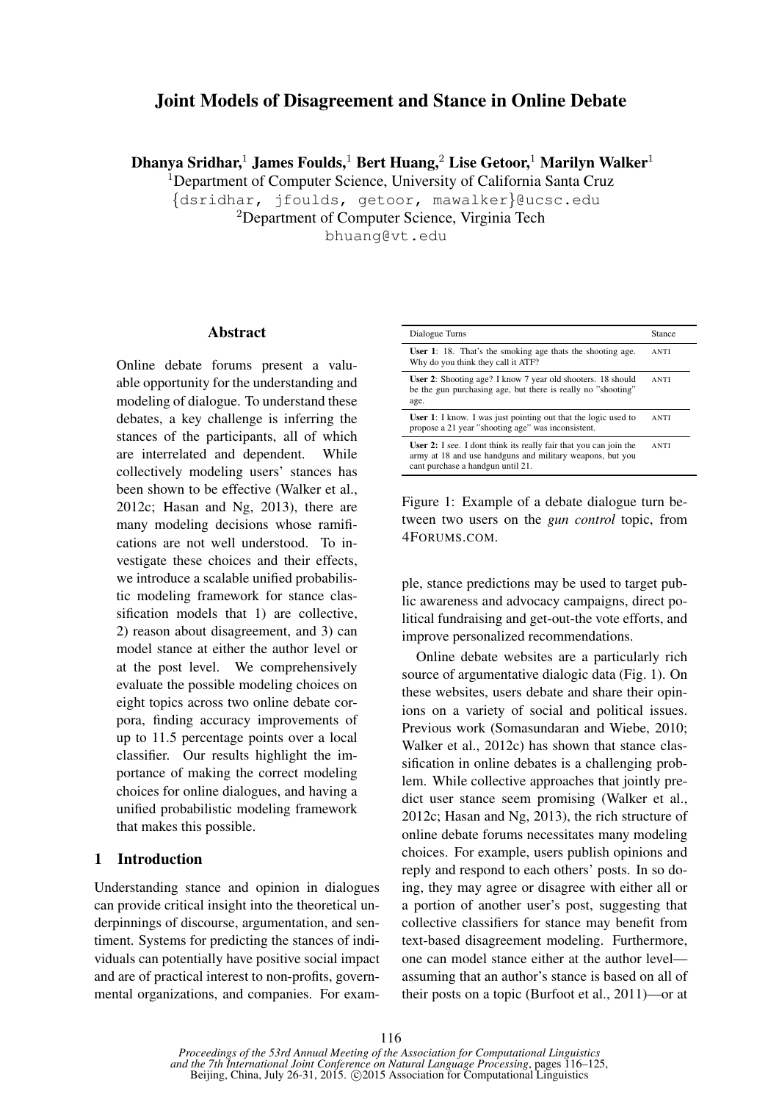# Joint Models of Disagreement and Stance in Online Debate

Dhanya Sridhar,<sup>1</sup> James Foulds,<sup>1</sup> Bert Huang,<sup>2</sup> Lise Getoor,<sup>1</sup> Marilyn Walker<sup>1</sup>

<sup>1</sup>Department of Computer Science, University of California Santa Cruz

{dsridhar, jfoulds, getoor, mawalker}@ucsc.edu

<sup>2</sup>Department of Computer Science, Virginia Tech

bhuang@vt.edu

#### Abstract

Online debate forums present a valuable opportunity for the understanding and modeling of dialogue. To understand these debates, a key challenge is inferring the stances of the participants, all of which are interrelated and dependent. While collectively modeling users' stances has been shown to be effective (Walker et al., 2012c; Hasan and Ng, 2013), there are many modeling decisions whose ramifications are not well understood. To investigate these choices and their effects, we introduce a scalable unified probabilistic modeling framework for stance classification models that 1) are collective, 2) reason about disagreement, and 3) can model stance at either the author level or at the post level. We comprehensively evaluate the possible modeling choices on eight topics across two online debate corpora, finding accuracy improvements of up to 11.5 percentage points over a local classifier. Our results highlight the importance of making the correct modeling choices for online dialogues, and having a unified probabilistic modeling framework that makes this possible.

#### 1 Introduction

Understanding stance and opinion in dialogues can provide critical insight into the theoretical underpinnings of discourse, argumentation, and sentiment. Systems for predicting the stances of individuals can potentially have positive social impact and are of practical interest to non-profits, governmental organizations, and companies. For exam-

| Dialogue Turns                                                                                                                                                      | Stance      |
|---------------------------------------------------------------------------------------------------------------------------------------------------------------------|-------------|
| <b>User 1:</b> 18. That's the smoking age thats the shooting age.<br>Why do you think they call it ATF?                                                             | <b>ANTI</b> |
| <b>User 2:</b> Shooting age? I know 7 year old shooters. 18 should<br>be the gun purchasing age, but there is really no "shooting"<br>age.                          | <b>ANTI</b> |
| <b>User 1:</b> I know. I was just pointing out that the logic used to<br>propose a 21 year "shooting age" was inconsistent.                                         | <b>ANTI</b> |
| User 2: I see. I dont think its really fair that you can join the<br>army at 18 and use handguns and military weapons, but you<br>cant purchase a handgun until 21. | <b>ANTI</b> |

Figure 1: Example of a debate dialogue turn between two users on the *gun control* topic, from 4FORUMS.COM.

ple, stance predictions may be used to target public awareness and advocacy campaigns, direct political fundraising and get-out-the vote efforts, and improve personalized recommendations.

Online debate websites are a particularly rich source of argumentative dialogic data (Fig. 1). On these websites, users debate and share their opinions on a variety of social and political issues. Previous work (Somasundaran and Wiebe, 2010; Walker et al., 2012c) has shown that stance classification in online debates is a challenging problem. While collective approaches that jointly predict user stance seem promising (Walker et al., 2012c; Hasan and Ng, 2013), the rich structure of online debate forums necessitates many modeling choices. For example, users publish opinions and reply and respond to each others' posts. In so doing, they may agree or disagree with either all or a portion of another user's post, suggesting that collective classifiers for stance may benefit from text-based disagreement modeling. Furthermore, one can model stance either at the author level assuming that an author's stance is based on all of their posts on a topic (Burfoot et al., 2011)—or at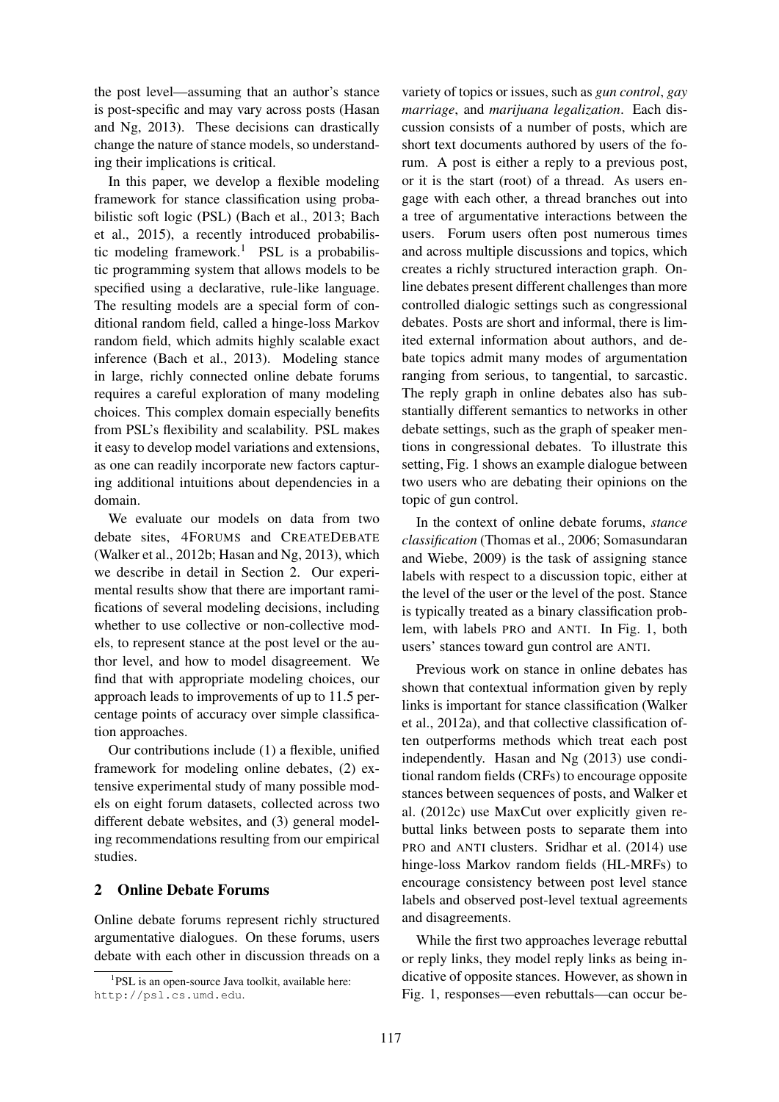the post level—assuming that an author's stance is post-specific and may vary across posts (Hasan and Ng, 2013). These decisions can drastically change the nature of stance models, so understanding their implications is critical.

In this paper, we develop a flexible modeling framework for stance classification using probabilistic soft logic (PSL) (Bach et al., 2013; Bach et al., 2015), a recently introduced probabilistic modeling framework.<sup>1</sup> PSL is a probabilistic programming system that allows models to be specified using a declarative, rule-like language. The resulting models are a special form of conditional random field, called a hinge-loss Markov random field, which admits highly scalable exact inference (Bach et al., 2013). Modeling stance in large, richly connected online debate forums requires a careful exploration of many modeling choices. This complex domain especially benefits from PSL's flexibility and scalability. PSL makes it easy to develop model variations and extensions, as one can readily incorporate new factors capturing additional intuitions about dependencies in a domain.

We evaluate our models on data from two debate sites, 4FORUMS and CREATEDEBATE (Walker et al., 2012b; Hasan and Ng, 2013), which we describe in detail in Section 2. Our experimental results show that there are important ramifications of several modeling decisions, including whether to use collective or non-collective models, to represent stance at the post level or the author level, and how to model disagreement. We find that with appropriate modeling choices, our approach leads to improvements of up to 11.5 percentage points of accuracy over simple classification approaches.

Our contributions include (1) a flexible, unified framework for modeling online debates, (2) extensive experimental study of many possible models on eight forum datasets, collected across two different debate websites, and (3) general modeling recommendations resulting from our empirical studies.

#### 2 Online Debate Forums

Online debate forums represent richly structured argumentative dialogues. On these forums, users debate with each other in discussion threads on a

variety of topics or issues, such as *gun control*, *gay marriage*, and *marijuana legalization*. Each discussion consists of a number of posts, which are short text documents authored by users of the forum. A post is either a reply to a previous post, or it is the start (root) of a thread. As users engage with each other, a thread branches out into a tree of argumentative interactions between the users. Forum users often post numerous times and across multiple discussions and topics, which creates a richly structured interaction graph. Online debates present different challenges than more controlled dialogic settings such as congressional debates. Posts are short and informal, there is limited external information about authors, and debate topics admit many modes of argumentation ranging from serious, to tangential, to sarcastic. The reply graph in online debates also has substantially different semantics to networks in other debate settings, such as the graph of speaker mentions in congressional debates. To illustrate this setting, Fig. 1 shows an example dialogue between two users who are debating their opinions on the topic of gun control.

In the context of online debate forums, *stance classification* (Thomas et al., 2006; Somasundaran and Wiebe, 2009) is the task of assigning stance labels with respect to a discussion topic, either at the level of the user or the level of the post. Stance is typically treated as a binary classification problem, with labels PRO and ANTI. In Fig. 1, both users' stances toward gun control are ANTI.

Previous work on stance in online debates has shown that contextual information given by reply links is important for stance classification (Walker et al., 2012a), and that collective classification often outperforms methods which treat each post independently. Hasan and Ng (2013) use conditional random fields (CRFs) to encourage opposite stances between sequences of posts, and Walker et al. (2012c) use MaxCut over explicitly given rebuttal links between posts to separate them into PRO and ANTI clusters. Sridhar et al. (2014) use hinge-loss Markov random fields (HL-MRFs) to encourage consistency between post level stance labels and observed post-level textual agreements and disagreements.

While the first two approaches leverage rebuttal or reply links, they model reply links as being indicative of opposite stances. However, as shown in Fig. 1, responses—even rebuttals—can occur be-

<sup>&</sup>lt;sup>1</sup>PSL is an open-source Java toolkit, available here: http://psl.cs.umd.edu.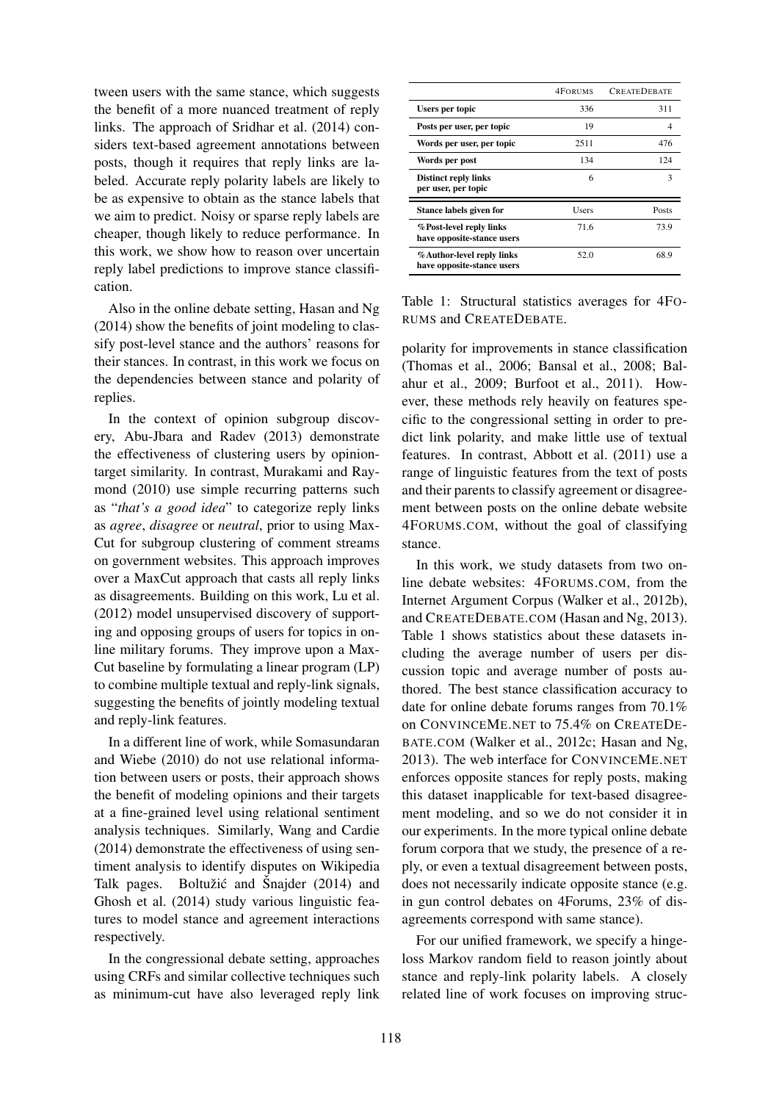tween users with the same stance, which suggests the benefit of a more nuanced treatment of reply links. The approach of Sridhar et al. (2014) considers text-based agreement annotations between posts, though it requires that reply links are labeled. Accurate reply polarity labels are likely to be as expensive to obtain as the stance labels that we aim to predict. Noisy or sparse reply labels are cheaper, though likely to reduce performance. In this work, we show how to reason over uncertain reply label predictions to improve stance classification.

Also in the online debate setting, Hasan and Ng (2014) show the benefits of joint modeling to classify post-level stance and the authors' reasons for their stances. In contrast, in this work we focus on the dependencies between stance and polarity of replies.

In the context of opinion subgroup discovery, Abu-Jbara and Radev (2013) demonstrate the effectiveness of clustering users by opiniontarget similarity. In contrast, Murakami and Raymond (2010) use simple recurring patterns such as "*that's a good idea*" to categorize reply links as *agree*, *disagree* or *neutral*, prior to using Max-Cut for subgroup clustering of comment streams on government websites. This approach improves over a MaxCut approach that casts all reply links as disagreements. Building on this work, Lu et al. (2012) model unsupervised discovery of supporting and opposing groups of users for topics in online military forums. They improve upon a Max-Cut baseline by formulating a linear program (LP) to combine multiple textual and reply-link signals, suggesting the benefits of jointly modeling textual and reply-link features.

In a different line of work, while Somasundaran and Wiebe (2010) do not use relational information between users or posts, their approach shows the benefit of modeling opinions and their targets at a fine-grained level using relational sentiment analysis techniques. Similarly, Wang and Cardie (2014) demonstrate the effectiveness of using sentiment analysis to identify disputes on Wikipedia Talk pages. Boltužić and Šnajder (2014) and Ghosh et al. (2014) study various linguistic features to model stance and agreement interactions respectively.

In the congressional debate setting, approaches using CRFs and similar collective techniques such as minimum-cut have also leveraged reply link

|                                                          | 4FORUMS      | <b>CREATEDEBATE</b> |
|----------------------------------------------------------|--------------|---------------------|
| <b>Users per topic</b>                                   | 336          | 311                 |
| Posts per user, per topic                                | 19           | 4                   |
| Words per user, per topic                                | 2511         | 476                 |
| Words per post                                           | 134          | 124                 |
| <b>Distinct reply links</b><br>per user, per topic       | 6            | 3                   |
| Stance labels given for                                  | <b>Users</b> | Posts               |
| % Post-level reply links<br>have opposite-stance users   | 71.6         | 73.9                |
| % Author-level reply links<br>have opposite-stance users | 52.0         | 68.9                |

Table 1: Structural statistics averages for 4FO-RUMS and CREATEDEBATE.

polarity for improvements in stance classification (Thomas et al., 2006; Bansal et al., 2008; Balahur et al., 2009; Burfoot et al., 2011). However, these methods rely heavily on features specific to the congressional setting in order to predict link polarity, and make little use of textual features. In contrast, Abbott et al. (2011) use a range of linguistic features from the text of posts and their parents to classify agreement or disagreement between posts on the online debate website 4FORUMS.COM, without the goal of classifying stance.

In this work, we study datasets from two online debate websites: 4FORUMS.COM, from the Internet Argument Corpus (Walker et al., 2012b), and CREATEDEBATE.COM (Hasan and Ng, 2013). Table 1 shows statistics about these datasets including the average number of users per discussion topic and average number of posts authored. The best stance classification accuracy to date for online debate forums ranges from 70.1% on CONVINCEME.NET to 75.4% on CREATEDE-BATE.COM (Walker et al., 2012c; Hasan and Ng, 2013). The web interface for CONVINCEME.NET enforces opposite stances for reply posts, making this dataset inapplicable for text-based disagreement modeling, and so we do not consider it in our experiments. In the more typical online debate forum corpora that we study, the presence of a reply, or even a textual disagreement between posts, does not necessarily indicate opposite stance (e.g. in gun control debates on 4Forums, 23% of disagreements correspond with same stance).

For our unified framework, we specify a hingeloss Markov random field to reason jointly about stance and reply-link polarity labels. A closely related line of work focuses on improving struc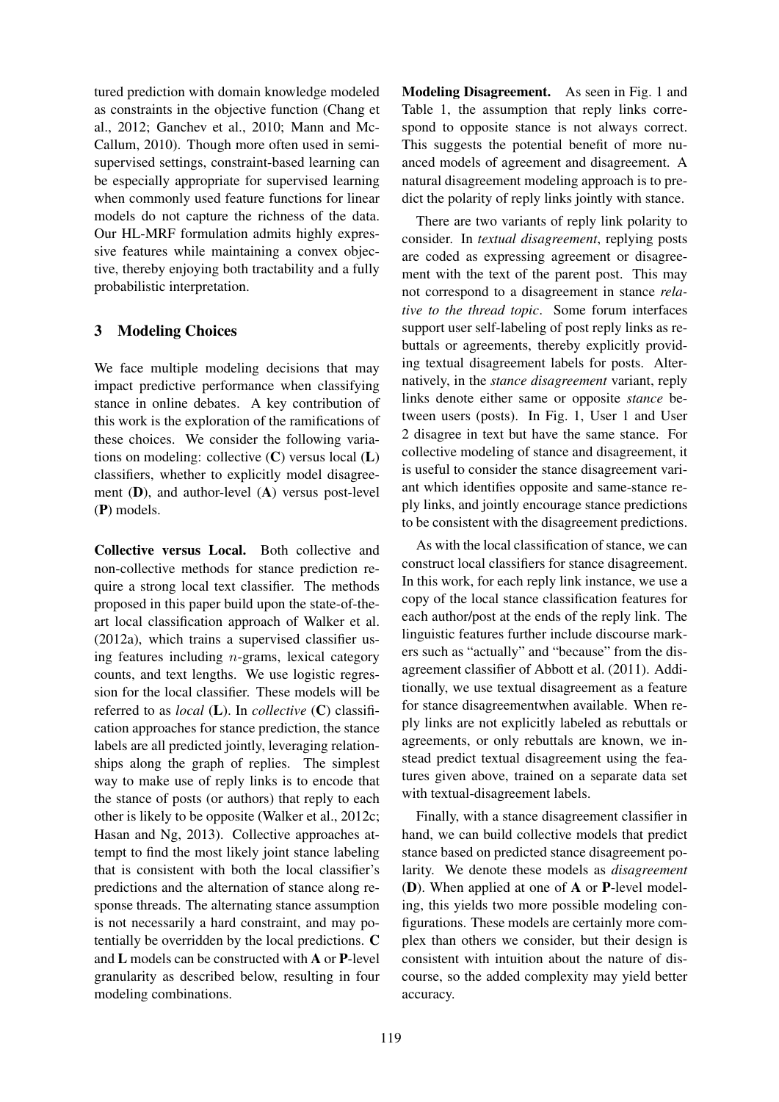tured prediction with domain knowledge modeled as constraints in the objective function (Chang et al., 2012; Ganchev et al., 2010; Mann and Mc-Callum, 2010). Though more often used in semisupervised settings, constraint-based learning can be especially appropriate for supervised learning when commonly used feature functions for linear models do not capture the richness of the data. Our HL-MRF formulation admits highly expressive features while maintaining a convex objective, thereby enjoying both tractability and a fully probabilistic interpretation.

### 3 Modeling Choices

We face multiple modeling decisions that may impact predictive performance when classifying stance in online debates. A key contribution of this work is the exploration of the ramifications of these choices. We consider the following variations on modeling: collective  $(C)$  versus local  $(L)$ classifiers, whether to explicitly model disagreement  $(D)$ , and author-level  $(A)$  versus post-level (P) models.

Collective versus Local. Both collective and non-collective methods for stance prediction require a strong local text classifier. The methods proposed in this paper build upon the state-of-theart local classification approach of Walker et al. (2012a), which trains a supervised classifier using features including  $n$ -grams, lexical category counts, and text lengths. We use logistic regression for the local classifier. These models will be referred to as *local* (L). In *collective* (C) classification approaches for stance prediction, the stance labels are all predicted jointly, leveraging relationships along the graph of replies. The simplest way to make use of reply links is to encode that the stance of posts (or authors) that reply to each other is likely to be opposite (Walker et al., 2012c; Hasan and Ng, 2013). Collective approaches attempt to find the most likely joint stance labeling that is consistent with both the local classifier's predictions and the alternation of stance along response threads. The alternating stance assumption is not necessarily a hard constraint, and may potentially be overridden by the local predictions. C and L models can be constructed with A or P-level granularity as described below, resulting in four modeling combinations.

Modeling Disagreement. As seen in Fig. 1 and Table 1, the assumption that reply links correspond to opposite stance is not always correct. This suggests the potential benefit of more nuanced models of agreement and disagreement. A natural disagreement modeling approach is to predict the polarity of reply links jointly with stance.

There are two variants of reply link polarity to consider. In *textual disagreement*, replying posts are coded as expressing agreement or disagreement with the text of the parent post. This may not correspond to a disagreement in stance *relative to the thread topic*. Some forum interfaces support user self-labeling of post reply links as rebuttals or agreements, thereby explicitly providing textual disagreement labels for posts. Alternatively, in the *stance disagreement* variant, reply links denote either same or opposite *stance* between users (posts). In Fig. 1, User 1 and User 2 disagree in text but have the same stance. For collective modeling of stance and disagreement, it is useful to consider the stance disagreement variant which identifies opposite and same-stance reply links, and jointly encourage stance predictions to be consistent with the disagreement predictions.

As with the local classification of stance, we can construct local classifiers for stance disagreement. In this work, for each reply link instance, we use a copy of the local stance classification features for each author/post at the ends of the reply link. The linguistic features further include discourse markers such as "actually" and "because" from the disagreement classifier of Abbott et al. (2011). Additionally, we use textual disagreement as a feature for stance disagreementwhen available. When reply links are not explicitly labeled as rebuttals or agreements, or only rebuttals are known, we instead predict textual disagreement using the features given above, trained on a separate data set with textual-disagreement labels.

Finally, with a stance disagreement classifier in hand, we can build collective models that predict stance based on predicted stance disagreement polarity. We denote these models as *disagreement* (D). When applied at one of A or P-level modeling, this yields two more possible modeling configurations. These models are certainly more complex than others we consider, but their design is consistent with intuition about the nature of discourse, so the added complexity may yield better accuracy.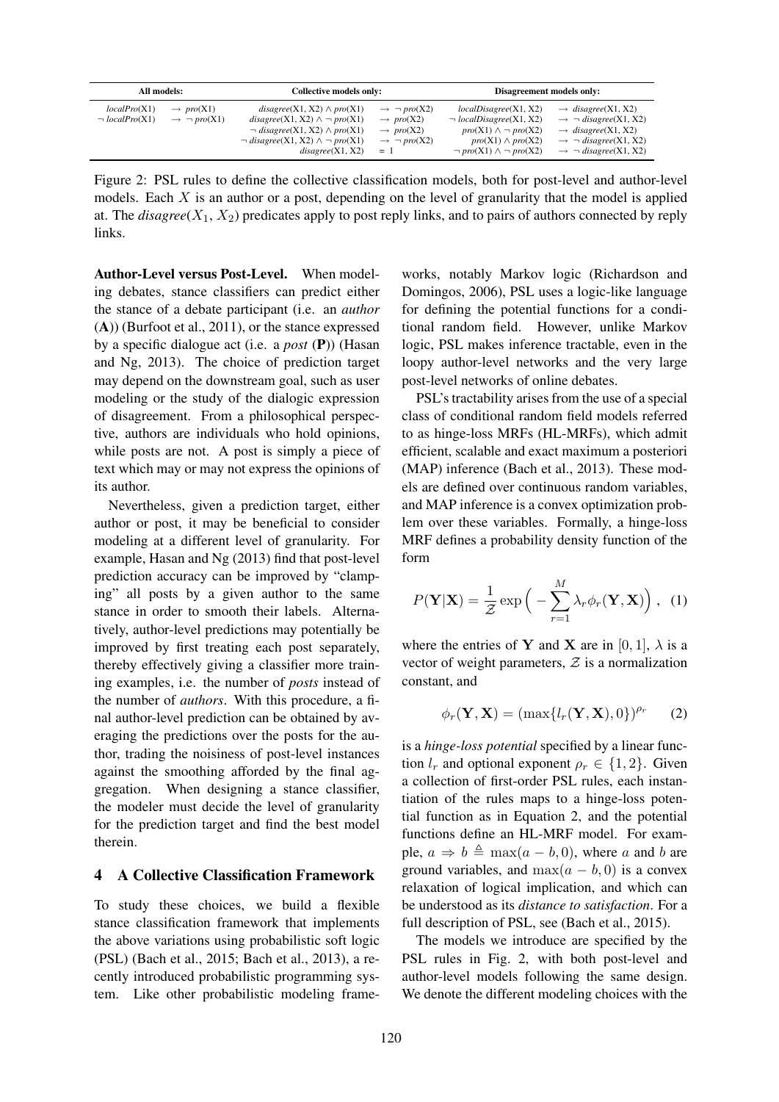| All models:                         |                                                            | Collective models only:                                                                                                                                                                                   |                                                                                                                                          | Disagreement models only:                                                                                                                                |                                                                                                                                                                                       |
|-------------------------------------|------------------------------------------------------------|-----------------------------------------------------------------------------------------------------------------------------------------------------------------------------------------------------------|------------------------------------------------------------------------------------------------------------------------------------------|----------------------------------------------------------------------------------------------------------------------------------------------------------|---------------------------------------------------------------------------------------------------------------------------------------------------------------------------------------|
| localPro(X1)<br>$\neg$ localPro(X1) | $\rightarrow pro(X1)$<br>$\rightarrow \neg \text{pro}(X1)$ | $disagree(X1, X2) \wedge pro(X1)$<br>$disagree(X1, X2) \wedge \neg \text{ pro}(X1)$<br>$\neg$ disagree(X1, X2) $\land$ pro(X1)<br>$\neg$ disagree(X1, X2) $\land \neg \text{pro}(X1)$<br>disagree(X1, X2) | $\rightarrow \neg \text{pro}(X2)$<br>$\rightarrow \text{pro}(X2)$<br>$\rightarrow pro(X2)$<br>$\rightarrow \neg \text{pro}(X2)$<br>$= 1$ | localDisagree(X1, X2)<br>$\neg$ localDisagree(X1, X2)<br>$pro(X1) \wedge \neg pro(X2)$<br>$pro(X1) \wedge pro(X2)$<br>$\neg pro(X1) \wedge \neg pro(X2)$ | $\rightarrow$ disagree(X1, X2)<br>$\rightarrow \neg$ disagree(X1, X2)<br>$\rightarrow$ disagree(X1, X2)<br>$\rightarrow \neg$ disagree(X1, X2)<br>$\rightarrow \neg$ disagree(X1, X2) |

Figure 2: PSL rules to define the collective classification models, both for post-level and author-level models. Each  $X$  is an author or a post, depending on the level of granularity that the model is applied at. The *disagree*( $X_1, X_2$ ) predicates apply to post reply links, and to pairs of authors connected by reply links.

Author-Level versus Post-Level. When modeling debates, stance classifiers can predict either the stance of a debate participant (i.e. an *author* (A)) (Burfoot et al., 2011), or the stance expressed by a specific dialogue act (i.e. a *post* (P)) (Hasan and Ng, 2013). The choice of prediction target may depend on the downstream goal, such as user modeling or the study of the dialogic expression of disagreement. From a philosophical perspective, authors are individuals who hold opinions, while posts are not. A post is simply a piece of text which may or may not express the opinions of its author.

Nevertheless, given a prediction target, either author or post, it may be beneficial to consider modeling at a different level of granularity. For example, Hasan and Ng (2013) find that post-level prediction accuracy can be improved by "clamping" all posts by a given author to the same stance in order to smooth their labels. Alternatively, author-level predictions may potentially be improved by first treating each post separately, thereby effectively giving a classifier more training examples, i.e. the number of *posts* instead of the number of *authors*. With this procedure, a final author-level prediction can be obtained by averaging the predictions over the posts for the author, trading the noisiness of post-level instances against the smoothing afforded by the final aggregation. When designing a stance classifier, the modeler must decide the level of granularity for the prediction target and find the best model therein.

#### 4 A Collective Classification Framework

To study these choices, we build a flexible stance classification framework that implements the above variations using probabilistic soft logic (PSL) (Bach et al., 2015; Bach et al., 2013), a recently introduced probabilistic programming system. Like other probabilistic modeling frame-

works, notably Markov logic (Richardson and Domingos, 2006), PSL uses a logic-like language for defining the potential functions for a conditional random field. However, unlike Markov logic, PSL makes inference tractable, even in the loopy author-level networks and the very large post-level networks of online debates.

PSL's tractability arises from the use of a special class of conditional random field models referred to as hinge-loss MRFs (HL-MRFs), which admit efficient, scalable and exact maximum a posteriori (MAP) inference (Bach et al., 2013). These models are defined over continuous random variables, and MAP inference is a convex optimization problem over these variables. Formally, a hinge-loss MRF defines a probability density function of the form

$$
P(\mathbf{Y}|\mathbf{X}) = \frac{1}{Z} \exp\left(-\sum_{r=1}^{M} \lambda_r \phi_r(\mathbf{Y}, \mathbf{X})\right), \quad (1)
$$

where the entries of Y and X are in [0, 1],  $\lambda$  is a vector of weight parameters,  $Z$  is a normalization constant, and

$$
\phi_r(\mathbf{Y}, \mathbf{X}) = (\max\{l_r(\mathbf{Y}, \mathbf{X}), 0\})^{\rho_r} \qquad (2)
$$

is a *hinge-loss potential* specified by a linear function  $l_r$  and optional exponent  $\rho_r \in \{1, 2\}$ . Given a collection of first-order PSL rules, each instantiation of the rules maps to a hinge-loss potential function as in Equation 2, and the potential functions define an HL-MRF model. For example,  $a \Rightarrow b \triangleq \max(a - b, 0)$ , where a and b are ground variables, and  $\max(a - b, 0)$  is a convex relaxation of logical implication, and which can be understood as its *distance to satisfaction*. For a full description of PSL, see (Bach et al., 2015).

The models we introduce are specified by the PSL rules in Fig. 2, with both post-level and author-level models following the same design. We denote the different modeling choices with the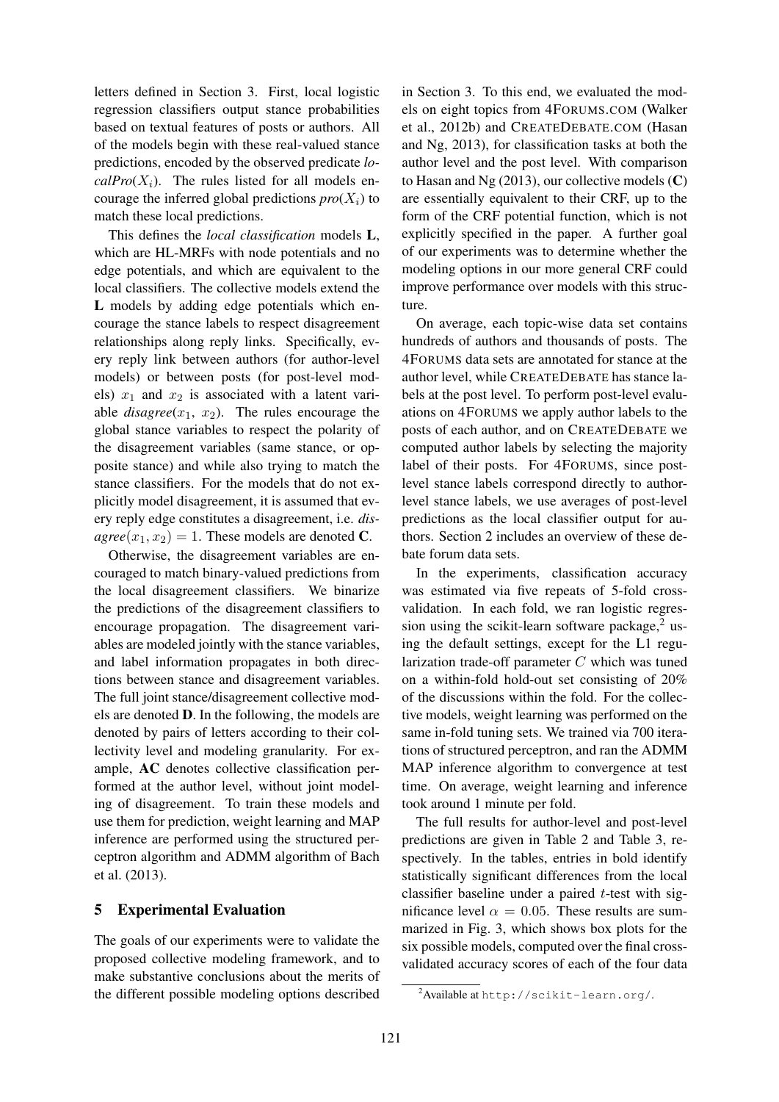letters defined in Section 3. First, local logistic regression classifiers output stance probabilities based on textual features of posts or authors. All of the models begin with these real-valued stance predictions, encoded by the observed predicate *lo* $calPro(X<sub>i</sub>)$ . The rules listed for all models encourage the inferred global predictions  $\text{pro}(X_i)$  to match these local predictions.

This defines the *local classification* models L, which are HL-MRFs with node potentials and no edge potentials, and which are equivalent to the local classifiers. The collective models extend the L models by adding edge potentials which encourage the stance labels to respect disagreement relationships along reply links. Specifically, every reply link between authors (for author-level models) or between posts (for post-level models)  $x_1$  and  $x_2$  is associated with a latent variable  $disagree(x_1, x_2)$ . The rules encourage the global stance variables to respect the polarity of the disagreement variables (same stance, or opposite stance) and while also trying to match the stance classifiers. For the models that do not explicitly model disagreement, it is assumed that every reply edge constitutes a disagreement, i.e. *dis* $agree(x_1, x_2) = 1$ . These models are denoted **C**.

Otherwise, the disagreement variables are encouraged to match binary-valued predictions from the local disagreement classifiers. We binarize the predictions of the disagreement classifiers to encourage propagation. The disagreement variables are modeled jointly with the stance variables, and label information propagates in both directions between stance and disagreement variables. The full joint stance/disagreement collective models are denoted D. In the following, the models are denoted by pairs of letters according to their collectivity level and modeling granularity. For example, AC denotes collective classification performed at the author level, without joint modeling of disagreement. To train these models and use them for prediction, weight learning and MAP inference are performed using the structured perceptron algorithm and ADMM algorithm of Bach et al. (2013).

#### 5 Experimental Evaluation

The goals of our experiments were to validate the proposed collective modeling framework, and to make substantive conclusions about the merits of the different possible modeling options described

in Section 3. To this end, we evaluated the models on eight topics from 4FORUMS.COM (Walker et al., 2012b) and CREATEDEBATE.COM (Hasan and Ng, 2013), for classification tasks at both the author level and the post level. With comparison to Hasan and Ng  $(2013)$ , our collective models  $(C)$ are essentially equivalent to their CRF, up to the form of the CRF potential function, which is not explicitly specified in the paper. A further goal of our experiments was to determine whether the modeling options in our more general CRF could improve performance over models with this structure.

On average, each topic-wise data set contains hundreds of authors and thousands of posts. The 4FORUMS data sets are annotated for stance at the author level, while CREATEDEBATE has stance labels at the post level. To perform post-level evaluations on 4FORUMS we apply author labels to the posts of each author, and on CREATEDEBATE we computed author labels by selecting the majority label of their posts. For 4FORUMS, since postlevel stance labels correspond directly to authorlevel stance labels, we use averages of post-level predictions as the local classifier output for authors. Section 2 includes an overview of these debate forum data sets.

In the experiments, classification accuracy was estimated via five repeats of 5-fold crossvalidation. In each fold, we ran logistic regression using the scikit-learn software package, $2$  using the default settings, except for the L1 regularization trade-off parameter  $C$  which was tuned on a within-fold hold-out set consisting of 20% of the discussions within the fold. For the collective models, weight learning was performed on the same in-fold tuning sets. We trained via 700 iterations of structured perceptron, and ran the ADMM MAP inference algorithm to convergence at test time. On average, weight learning and inference took around 1 minute per fold.

The full results for author-level and post-level predictions are given in Table 2 and Table 3, respectively. In the tables, entries in bold identify statistically significant differences from the local classifier baseline under a paired  $t$ -test with significance level  $\alpha = 0.05$ . These results are summarized in Fig. 3, which shows box plots for the six possible models, computed over the final crossvalidated accuracy scores of each of the four data

<sup>2</sup>Available at http://scikit-learn.org/.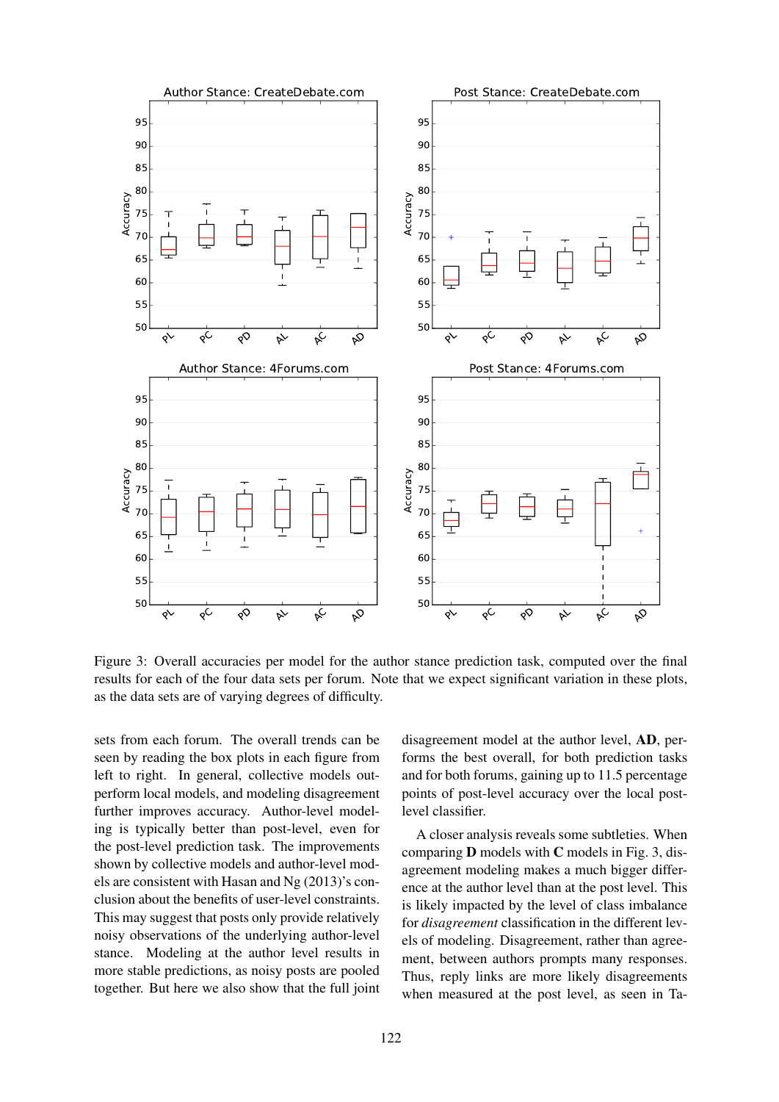

Figure 3: Overall accuracies per model for the author stance prediction task, computed over the final results for each of the four data sets per forum. Note that we expect significant variation in these plots, as the data sets are of varying degrees of difficulty.

sets from each forum. The overall trends can be seen by reading the box plots in each figure from left to right. In general, collective models outperform local models, and modeling disagreement further improves accuracy. Author-level modeling is typically better than post-level, even for the post-level prediction task. The improvements shown by collective models and author-level models are consistent with Hasan and Ng (2013)'s conclusion about the benefits of user-level constraints. This may suggest that posts only provide relatively noisy observations of the underlying author-level stance. Modeling at the author level results in more stable predictions, as noisy posts are pooled together. But here we also show that the full joint disagreement model at the author level, AD, performs the best overall, for both prediction tasks and for both forums, gaining up to 11.5 percentage points of post-level accuracy over the local postlevel classifier.

A closer analysis reveals some subtleties. When comparing D models with C models in Fig. 3, disagreement modeling makes a much bigger difference at the author level than at the post level. This is likely impacted by the level of class imbalance for *disagreement* classification in the different levels of modeling. Disagreement, rather than agreement, between authors prompts many responses. Thus, reply links are more likely disagreements when measured at the post level, as seen in Ta-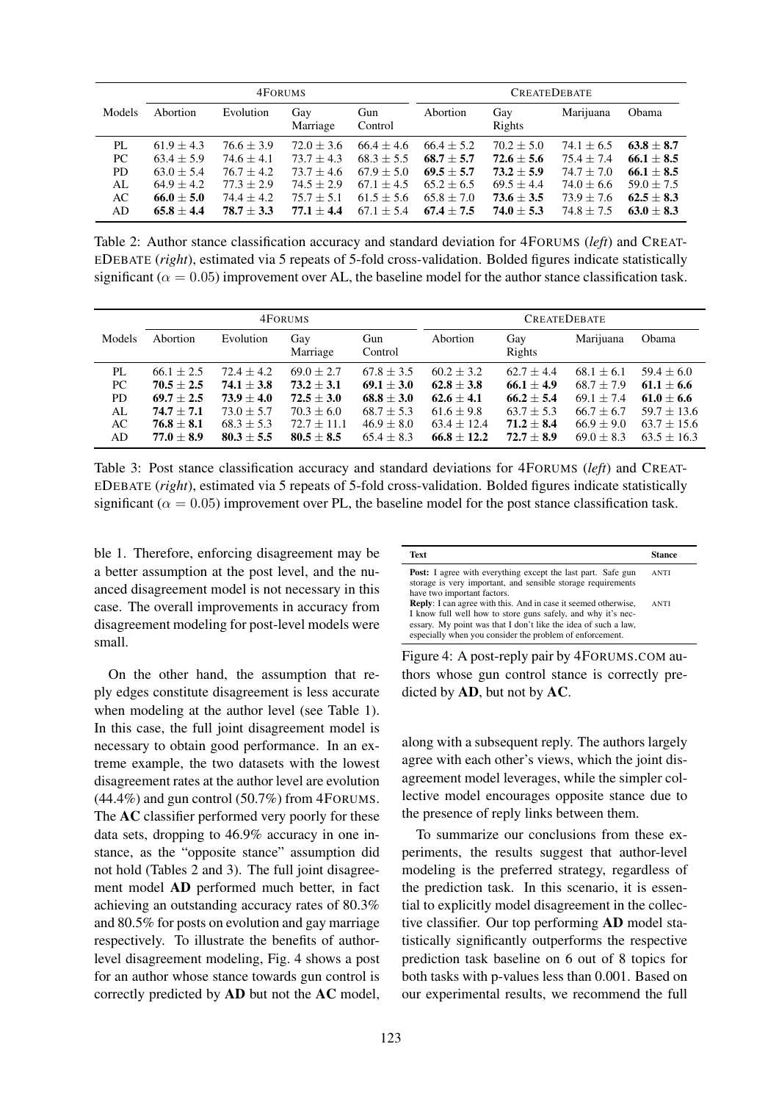| 4FORUMS   |                |              | <b>CREATEDEBATE</b> |                |                |                |                |              |
|-----------|----------------|--------------|---------------------|----------------|----------------|----------------|----------------|--------------|
| Models    | Abortion       | Evolution    | Gay<br>Marriage     | Gun<br>Control | Abortion       | Gay<br>Rights  | Marijuana      | Obama        |
| PL        | $61.9 \pm 4.3$ | $76.6 + 3.9$ | $72.0 \pm 3.6$      | $66.4 \pm 4.6$ | $66.4 + 5.2$   | $70.2 \pm 5.0$ | $74.1 \pm 6.5$ | $63.8 + 8.7$ |
| PC        | $63.4 + 5.9$   | $74.6 + 4.1$ | $73.7 + 4.3$        | $68.3 + 5.5$   | $68.7 + 5.7$   | $72.6 \pm 5.6$ | $75.4 + 7.4$   | $66.1 + 8.5$ |
| <b>PD</b> | $63.0 + 5.4$   | $76.7 + 4.2$ | $73.7 + 4.6$        | $67.9 + 5.0$   | $69.5 \pm 5.7$ | $73.2 \pm 5.9$ | $74.7 + 7.0$   | $66.1 + 8.5$ |
| AL        | $64.9 + 4.2$   | $77.3 + 2.9$ | $74.5 + 2.9$        | $67.1 + 4.5$   | $65.2 + 6.5$   | $69.5 + 4.4$   | $74.0 + 6.6$   | $59.0 + 7.5$ |
| AC        | $66.0 + 5.0$   | $74.4 + 4.2$ | $75.7 + 5.1$        | $61.5 + 5.6$   | $65.8 + 7.0$   | $73.6 \pm 3.5$ | $73.9 + 7.6$   | $62.5 + 8.3$ |
| AD        | $65.8 + 4.4$   | $78.7 + 3.3$ | $77.1 + 4.4$        | $67.1 + 5.4$   | $67.4 + 7.5$   | $74.0 + 5.3$   | $74.8 + 7.5$   | $63.0 + 8.3$ |

Table 2: Author stance classification accuracy and standard deviation for 4FORUMS (*left*) and CREAT-EDEBATE (*right*), estimated via 5 repeats of 5-fold cross-validation. Bolded figures indicate statistically significant ( $\alpha = 0.05$ ) improvement over AL, the baseline model for the author stance classification task.

| 4 FORUMS  |                |                | <b>CREATEDEBATE</b> |                |                 |                |                |               |
|-----------|----------------|----------------|---------------------|----------------|-----------------|----------------|----------------|---------------|
| Models    | Abortion       | Evolution      | Gay<br>Marriage     | Gun<br>Control | Abortion        | Gay<br>Rights  | Marijuana      | Obama         |
| PL        | $66.1 \pm 2.5$ | $72.4 + 4.2$   | $69.0 + 2.7$        | $67.8 \pm 3.5$ | $60.2 \pm 3.2$  | $62.7 \pm 4.4$ | $68.1 + 6.1$   | $59.4 + 6.0$  |
| PC        | $70.5 + 2.5$   | $74.1 \pm 3.8$ | $73.2 + 3.1$        | $69.1 + 3.0$   | $62.8 + 3.8$    | $66.1 + 4.9$   | $68.7 + 7.9$   | $61.1 + 6.6$  |
| <b>PD</b> | $69.7 \pm 2.5$ | $73.9 \pm 4.0$ | $72.5 \pm 3.0$      | $68.8 \pm 3.0$ | $62.6 \pm 4.1$  | $66.2 \pm 5.4$ | $69.1 \pm 7.4$ | $61.0 + 6.6$  |
| AL        | $74.7 + 7.1$   | $73.0 + 5.7$   | $70.3 + 6.0$        | $68.7 + 5.3$   | $61.6 + 9.8$    | $63.7 + 5.3$   | $66.7 + 6.7$   | $59.7 + 13.6$ |
| AC        | $76.8 + 8.1$   | $68.3 \pm 5.3$ | $72.7 + 11.1$       | $46.9 \pm 8.0$ | $63.4 + 12.4$   | $71.2 \pm 8.4$ | $66.9 \pm 9.0$ | $63.7 + 15.6$ |
| AD        | $77.0 + 8.9$   | $80.3 + 5.5$   | $80.5 + 8.5$        | $65.4 + 8.3$   | $66.8 \pm 12.2$ | $72.7 + 8.9$   | $69.0 + 8.3$   | $63.5 + 16.3$ |

Table 3: Post stance classification accuracy and standard deviations for 4FORUMS (*left*) and CREAT-EDEBATE (*right*), estimated via 5 repeats of 5-fold cross-validation. Bolded figures indicate statistically significant ( $\alpha = 0.05$ ) improvement over PL, the baseline model for the post stance classification task.

ble 1. Therefore, enforcing disagreement may be a better assumption at the post level, and the nuanced disagreement model is not necessary in this case. The overall improvements in accuracy from disagreement modeling for post-level models were small.

On the other hand, the assumption that reply edges constitute disagreement is less accurate when modeling at the author level (see Table 1). In this case, the full joint disagreement model is necessary to obtain good performance. In an extreme example, the two datasets with the lowest disagreement rates at the author level are evolution (44.4%) and gun control (50.7%) from 4FORUMS. The AC classifier performed very poorly for these data sets, dropping to 46.9% accuracy in one instance, as the "opposite stance" assumption did not hold (Tables 2 and 3). The full joint disagreement model AD performed much better, in fact achieving an outstanding accuracy rates of 80.3% and 80.5% for posts on evolution and gay marriage respectively. To illustrate the benefits of authorlevel disagreement modeling, Fig. 4 shows a post for an author whose stance towards gun control is correctly predicted by AD but not the AC model,

| <b>Text</b>                                                                                                                                                                                                                                                                                                                                                                   | Stance                     |
|-------------------------------------------------------------------------------------------------------------------------------------------------------------------------------------------------------------------------------------------------------------------------------------------------------------------------------------------------------------------------------|----------------------------|
| <b>Post:</b> I agree with everything except the last part. Safe gun<br>storage is very important, and sensible storage requirements<br>have two important factors.<br><b>Reply:</b> I can agree with this. And in case it seemed otherwise,<br>I know full well how to store guns safely, and why it's nec-<br>essary. My point was that I don't like the idea of such a law, | <b>ANTI</b><br><b>ANTI</b> |
| especially when you consider the problem of enforcement.                                                                                                                                                                                                                                                                                                                      |                            |

Figure 4: A post-reply pair by 4FORUMS.COM authors whose gun control stance is correctly predicted by AD, but not by AC.

along with a subsequent reply. The authors largely agree with each other's views, which the joint disagreement model leverages, while the simpler collective model encourages opposite stance due to the presence of reply links between them.

To summarize our conclusions from these experiments, the results suggest that author-level modeling is the preferred strategy, regardless of the prediction task. In this scenario, it is essential to explicitly model disagreement in the collective classifier. Our top performing AD model statistically significantly outperforms the respective prediction task baseline on 6 out of 8 topics for both tasks with p-values less than 0.001. Based on our experimental results, we recommend the full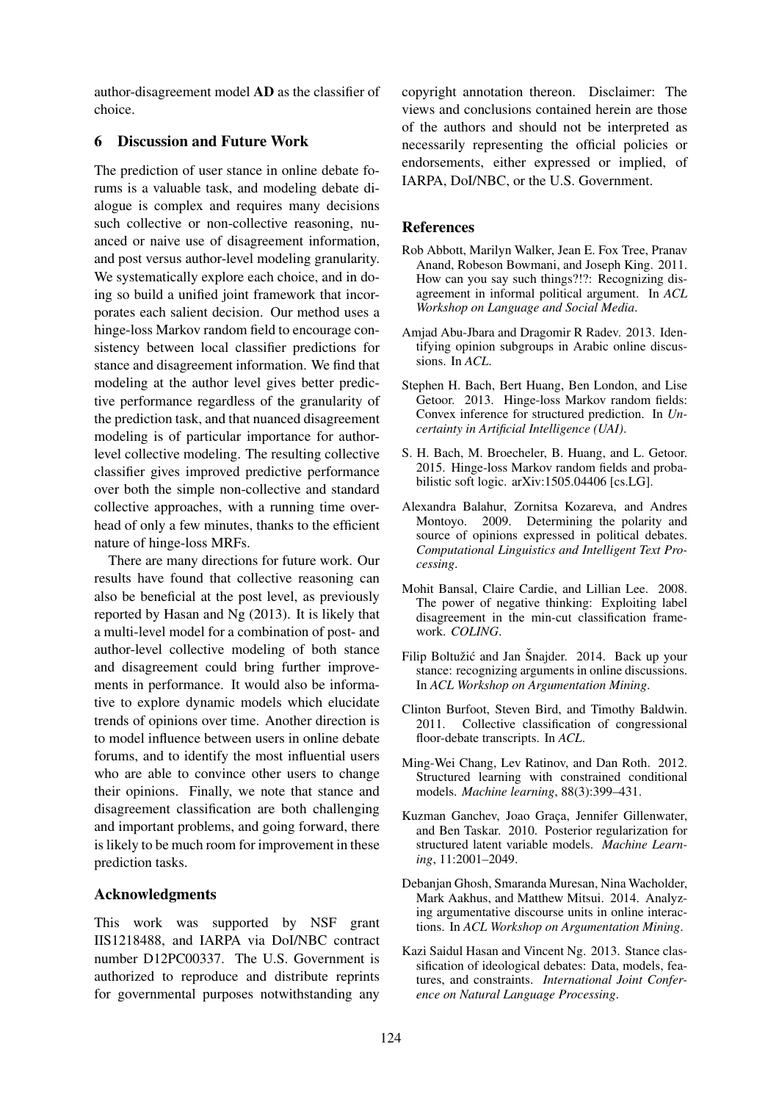author-disagreement model AD as the classifier of choice.

## 6 Discussion and Future Work

The prediction of user stance in online debate forums is a valuable task, and modeling debate dialogue is complex and requires many decisions such collective or non-collective reasoning, nuanced or naive use of disagreement information, and post versus author-level modeling granularity. We systematically explore each choice, and in doing so build a unified joint framework that incorporates each salient decision. Our method uses a hinge-loss Markov random field to encourage consistency between local classifier predictions for stance and disagreement information. We find that modeling at the author level gives better predictive performance regardless of the granularity of the prediction task, and that nuanced disagreement modeling is of particular importance for authorlevel collective modeling. The resulting collective classifier gives improved predictive performance over both the simple non-collective and standard collective approaches, with a running time overhead of only a few minutes, thanks to the efficient nature of hinge-loss MRFs.

There are many directions for future work. Our results have found that collective reasoning can also be beneficial at the post level, as previously reported by Hasan and Ng (2013). It is likely that a multi-level model for a combination of post- and author-level collective modeling of both stance and disagreement could bring further improvements in performance. It would also be informative to explore dynamic models which elucidate trends of opinions over time. Another direction is to model influence between users in online debate forums, and to identify the most influential users who are able to convince other users to change their opinions. Finally, we note that stance and disagreement classification are both challenging and important problems, and going forward, there is likely to be much room for improvement in these prediction tasks.

### Acknowledgments

This work was supported by NSF grant IIS1218488, and IARPA via DoI/NBC contract number D12PC00337. The U.S. Government is authorized to reproduce and distribute reprints for governmental purposes notwithstanding any

copyright annotation thereon. Disclaimer: The views and conclusions contained herein are those of the authors and should not be interpreted as necessarily representing the official policies or endorsements, either expressed or implied, of IARPA, DoI/NBC, or the U.S. Government.

## References

- Rob Abbott, Marilyn Walker, Jean E. Fox Tree, Pranav Anand, Robeson Bowmani, and Joseph King. 2011. How can you say such things?!?: Recognizing disagreement in informal political argument. In *ACL Workshop on Language and Social Media*.
- Amjad Abu-Jbara and Dragomir R Radev. 2013. Identifying opinion subgroups in Arabic online discussions. In *ACL*.
- Stephen H. Bach, Bert Huang, Ben London, and Lise Getoor. 2013. Hinge-loss Markov random fields: Convex inference for structured prediction. In *Uncertainty in Artificial Intelligence (UAI)*.
- S. H. Bach, M. Broecheler, B. Huang, and L. Getoor. 2015. Hinge-loss Markov random fields and probabilistic soft logic. arXiv:1505.04406 [cs.LG].
- Alexandra Balahur, Zornitsa Kozareva, and Andres Montoyo. 2009. Determining the polarity and source of opinions expressed in political debates. *Computational Linguistics and Intelligent Text Processing*.
- Mohit Bansal, Claire Cardie, and Lillian Lee. 2008. The power of negative thinking: Exploiting label disagreement in the min-cut classification framework. *COLING*.
- Filip Boltužić and Jan Šnajder. 2014. Back up your stance: recognizing arguments in online discussions. In *ACL Workshop on Argumentation Mining*.
- Clinton Burfoot, Steven Bird, and Timothy Baldwin. 2011. Collective classification of congressional floor-debate transcripts. In *ACL*.
- Ming-Wei Chang, Lev Ratinov, and Dan Roth. 2012. Structured learning with constrained conditional models. *Machine learning*, 88(3):399–431.
- Kuzman Ganchev, Joao Graca, Jennifer Gillenwater, and Ben Taskar. 2010. Posterior regularization for structured latent variable models. *Machine Learning*, 11:2001–2049.
- Debanjan Ghosh, Smaranda Muresan, Nina Wacholder, Mark Aakhus, and Matthew Mitsui. 2014. Analyzing argumentative discourse units in online interactions. In *ACL Workshop on Argumentation Mining*.
- Kazi Saidul Hasan and Vincent Ng. 2013. Stance classification of ideological debates: Data, models, features, and constraints. *International Joint Conference on Natural Language Processing*.